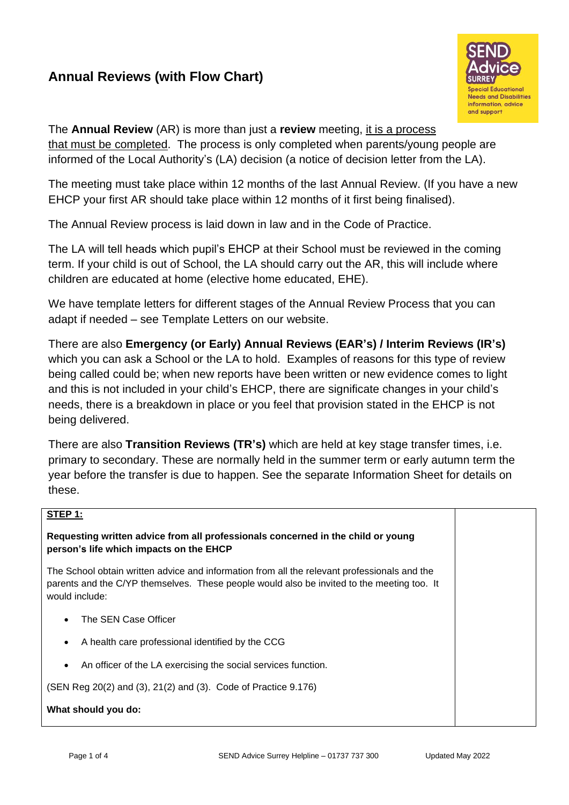## **Annual Reviews (with Flow Chart)**



The **Annual Review** (AR) is more than just a **review** meeting, it is a process that must be completed. The process is only completed when parents/young people are informed of the Local Authority's (LA) decision (a notice of decision letter from the LA).

The meeting must take place within 12 months of the last Annual Review. (If you have a new EHCP your first AR should take place within 12 months of it first being finalised).

The Annual Review process is laid down in law and in the Code of Practice.

The LA will tell heads which pupil's EHCP at their School must be reviewed in the coming term. If your child is out of School, the LA should carry out the AR, this will include where children are educated at home (elective home educated, EHE).

We have template letters for different stages of the Annual Review Process that you can adapt if needed – see Template Letters on our website.

There are also **Emergency (or Early) Annual Reviews (EAR's) / Interim Reviews (IR's)** which you can ask a School or the LA to hold. Examples of reasons for this type of review being called could be; when new reports have been written or new evidence comes to light and this is not included in your child's EHCP, there are significate changes in your child's needs, there is a breakdown in place or you feel that provision stated in the EHCP is not being delivered.

There are also **Transition Reviews (TR's)** which are held at key stage transfer times, i.e. primary to secondary. These are normally held in the summer term or early autumn term the year before the transfer is due to happen. See the separate Information Sheet for details on these.

## **STEP 1:**

**Requesting written advice from all professionals concerned in the child or young person's life which impacts on the EHCP**

The School obtain written advice and information from all the relevant professionals and the parents and the C/YP themselves. These people would also be invited to the meeting too. It would include:

- The SEN Case Officer
- A health care professional identified by the CCG
- An officer of the LA exercising the social services function.

(SEN Reg 20(2) and (3), 21(2) and (3). Code of Practice 9.176)

**What should you do:**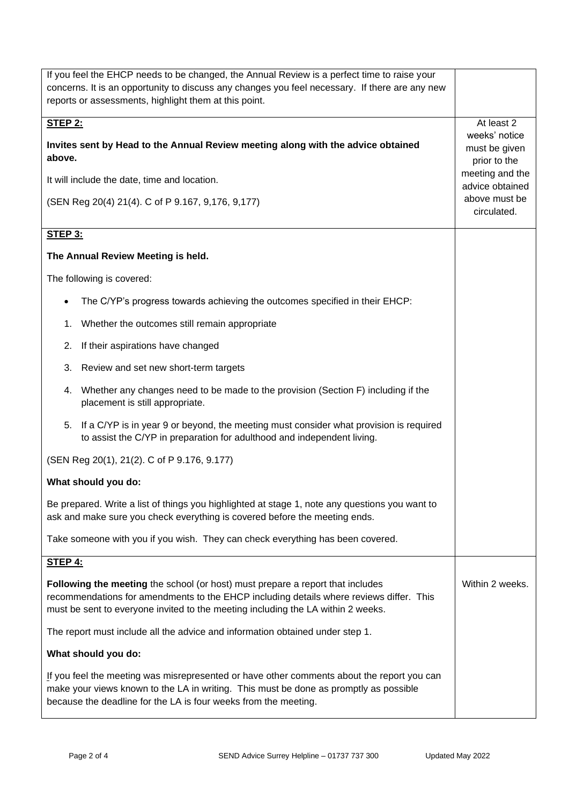| If you feel the EHCP needs to be changed, the Annual Review is a perfect time to raise your                                                                                                                                                                   |                 |
|---------------------------------------------------------------------------------------------------------------------------------------------------------------------------------------------------------------------------------------------------------------|-----------------|
| concerns. It is an opportunity to discuss any changes you feel necessary. If there are any new                                                                                                                                                                |                 |
| reports or assessments, highlight them at this point.                                                                                                                                                                                                         |                 |
| <b>STEP 2:</b>                                                                                                                                                                                                                                                | At least 2      |
|                                                                                                                                                                                                                                                               | weeks' notice   |
| Invites sent by Head to the Annual Review meeting along with the advice obtained                                                                                                                                                                              | must be given   |
| above.                                                                                                                                                                                                                                                        | prior to the    |
|                                                                                                                                                                                                                                                               | meeting and the |
| It will include the date, time and location.                                                                                                                                                                                                                  | advice obtained |
| (SEN Reg 20(4) 21(4). C of P 9.167, 9,176, 9,177)                                                                                                                                                                                                             | above must be   |
|                                                                                                                                                                                                                                                               | circulated.     |
|                                                                                                                                                                                                                                                               |                 |
| <b>STEP 3:</b>                                                                                                                                                                                                                                                |                 |
| The Annual Review Meeting is held.                                                                                                                                                                                                                            |                 |
| The following is covered:                                                                                                                                                                                                                                     |                 |
| The C/YP's progress towards achieving the outcomes specified in their EHCP:                                                                                                                                                                                   |                 |
| Whether the outcomes still remain appropriate<br>1.                                                                                                                                                                                                           |                 |
| If their aspirations have changed<br>2.                                                                                                                                                                                                                       |                 |
| Review and set new short-term targets<br>3.                                                                                                                                                                                                                   |                 |
| Whether any changes need to be made to the provision (Section F) including if the<br>4.<br>placement is still appropriate.                                                                                                                                    |                 |
| If a C/YP is in year 9 or beyond, the meeting must consider what provision is required<br>5.<br>to assist the C/YP in preparation for adulthood and independent living.                                                                                       |                 |
| (SEN Reg 20(1), 21(2). C of P 9.176, 9.177)                                                                                                                                                                                                                   |                 |
| What should you do:                                                                                                                                                                                                                                           |                 |
| Be prepared. Write a list of things you highlighted at stage 1, note any questions you want to<br>ask and make sure you check everything is covered before the meeting ends.                                                                                  |                 |
| Take someone with you if you wish. They can check everything has been covered.                                                                                                                                                                                |                 |
| <b>STEP 4:</b>                                                                                                                                                                                                                                                |                 |
|                                                                                                                                                                                                                                                               |                 |
| Following the meeting the school (or host) must prepare a report that includes<br>recommendations for amendments to the EHCP including details where reviews differ. This<br>must be sent to everyone invited to the meeting including the LA within 2 weeks. | Within 2 weeks. |
| The report must include all the advice and information obtained under step 1.                                                                                                                                                                                 |                 |
| What should you do:                                                                                                                                                                                                                                           |                 |
| If you feel the meeting was misrepresented or have other comments about the report you can<br>make your views known to the LA in writing. This must be done as promptly as possible<br>because the deadline for the LA is four weeks from the meeting.        |                 |